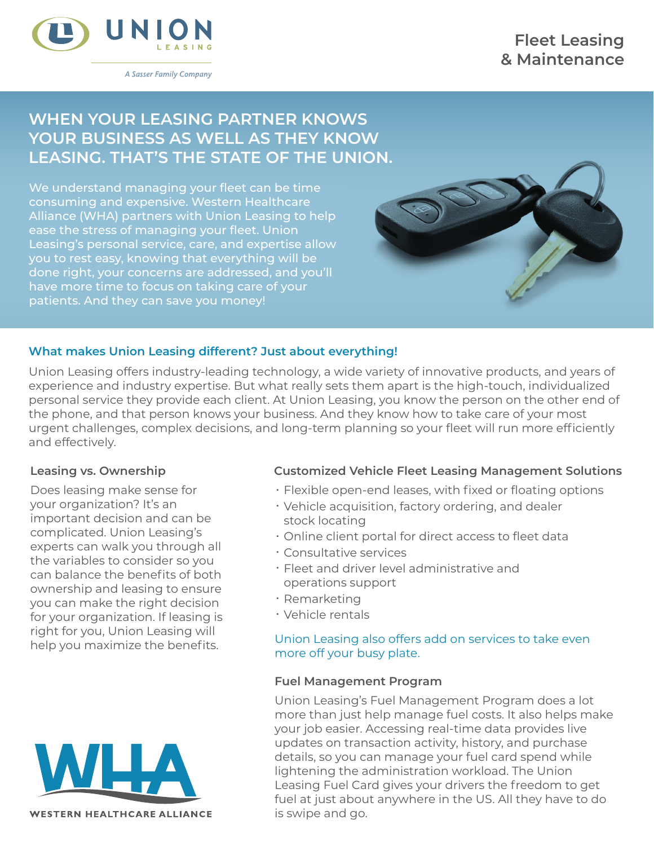## **Fleet Leasing & Maintenance**



A Sasser Family Company

# **WHEN YOUR LEASING PARTNER KNOWS YOUR BUSINESS AS WELL AS THEY KNOW LEASING. THAT'S THE STATE OF THE UNION.**

We understand managing your fleet can be time consuming and expensive. Western Healthcare Alliance (WHA) partners with Union Leasing to help ease the stress of managing your fleet. Union Leasing's personal service, care, and expertise allow you to rest easy, knowing that everything will be done right, your concerns are addressed, and you'll have more time to focus on taking care of your patients. And they can save you money!

## **What makes Union Leasing different? Just about everything!**

Union Leasing offers industry-leading technology, a wide variety of innovative products, and years of experience and industry expertise. But what really sets them apart is the high-touch, individualized personal service they provide each client. At Union Leasing, you know the person on the other end of the phone, and that person knows your business. And they know how to take care of your most urgent challenges, complex decisions, and long-term planning so your fleet will run more efficiently and effectively.

## **Leasing vs. Ownership**

Does leasing make sense for your organization? It's an important decision and can be complicated. Union Leasing's experts can walk you through all the variables to consider so you can balance the benefits of both ownership and leasing to ensure you can make the right decision for your organization. If leasing is right for you, Union Leasing will



## **Customized Vehicle Fleet Leasing Management Solutions**

- Flexible open-end leases, with fixed or floating options
- Vehicle acquisition, factory ordering, and dealer stock locating
- Online client portal for direct access to fleet data
- Consultative services
- Fleet and driver level administrative and operations support
- Remarketing
- Vehicle rentals

#### help you maximize the benefits. Union Leasing also offers add on services to take even more off your busy plate.

## **Fuel Management Program**

Union Leasing's Fuel Management Program does a lot more than just help manage fuel costs. It also helps make your job easier. Accessing real-time data provides live updates on transaction activity, history, and purchase details, so you can manage your fuel card spend while lightening the administration workload. The Union Leasing Fuel Card gives your drivers the freedom to get fuel at just about anywhere in the US. All they have to do is swipe and go.